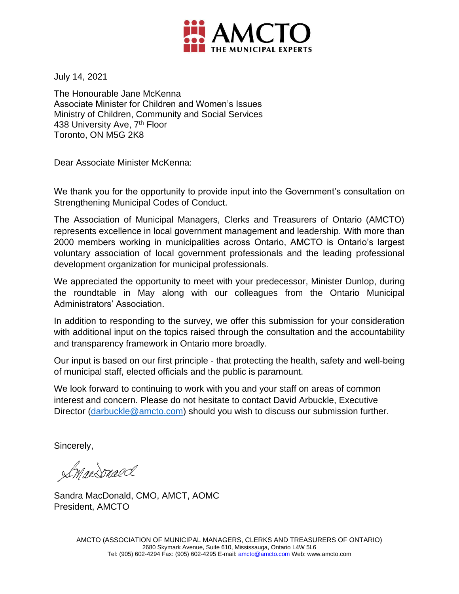

July 14, 2021

The Honourable Jane McKenna Associate Minister for Children and Women's Issues Ministry of Children, Community and Social Services 438 University Ave, 7<sup>th</sup> Floor Toronto, ON M5G 2K8

Dear Associate Minister McKenna:

We thank you for the opportunity to provide input into the Government's consultation on Strengthening Municipal Codes of Conduct.

The Association of Municipal Managers, Clerks and Treasurers of Ontario (AMCTO) represents excellence in local government management and leadership. With more than 2000 members working in municipalities across Ontario, AMCTO is Ontario's largest voluntary association of local government professionals and the leading professional development organization for municipal professionals.

We appreciated the opportunity to meet with your predecessor, Minister Dunlop, during the roundtable in May along with our colleagues from the Ontario Municipal Administrators' Association.

In addition to responding to the survey, we offer this submission for your consideration with additional input on the topics raised through the consultation and the accountability and transparency framework in Ontario more broadly.

Our input is based on our first principle - that protecting the health, safety and well-being of municipal staff, elected officials and the public is paramount.

We look forward to continuing to work with you and your staff on areas of common interest and concern. Please do not hesitate to contact David Arbuckle, Executive Director [\(darbuckle@amcto.com\)](mailto:darbuckle@amcto.com) should you wish to discuss our submission further.

Sincerely,

ImacSnaed

Sandra MacDonald, CMO, AMCT, AOMC President, AMCTO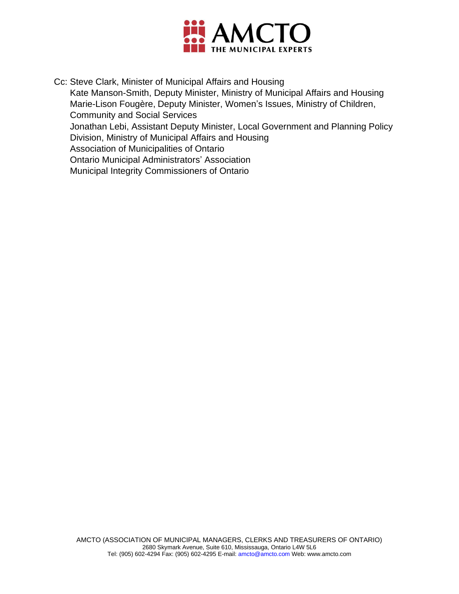

Cc: Steve Clark, Minister of Municipal Affairs and Housing Kate Manson-Smith, Deputy Minister, Ministry of Municipal Affairs and Housing Marie-Lison Fougère, Deputy Minister, Women's Issues, Ministry of Children, Community and Social Services Jonathan Lebi, Assistant Deputy Minister, Local Government and Planning Policy Division, Ministry of Municipal Affairs and Housing Association of Municipalities of Ontario Ontario Municipal Administrators' Association Municipal Integrity Commissioners of Ontario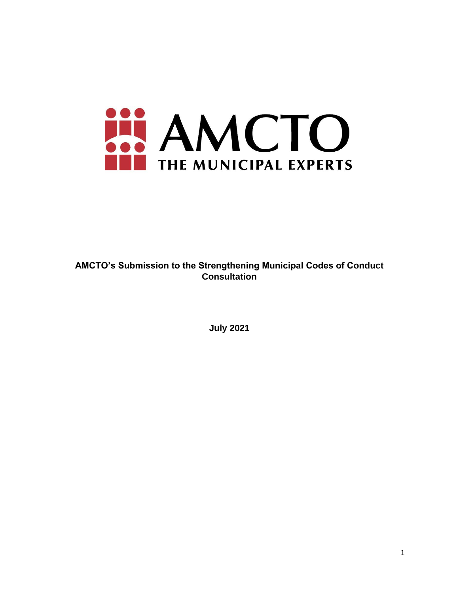

**AMCTO's Submission to the Strengthening Municipal Codes of Conduct Consultation** 

**July 2021**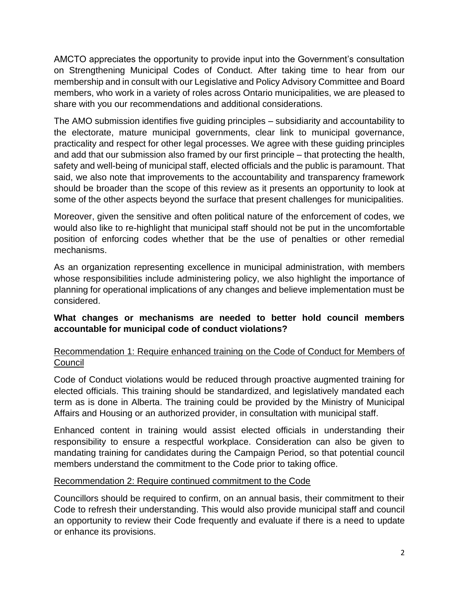AMCTO appreciates the opportunity to provide input into the Government's consultation on Strengthening Municipal Codes of Conduct. After taking time to hear from our membership and in consult with our Legislative and Policy Advisory Committee and Board members, who work in a variety of roles across Ontario municipalities, we are pleased to share with you our recommendations and additional considerations.

The AMO submission identifies five guiding principles – subsidiarity and accountability to the electorate, mature municipal governments, clear link to municipal governance, practicality and respect for other legal processes. We agree with these guiding principles and add that our submission also framed by our first principle – that protecting the health, safety and well-being of municipal staff, elected officials and the public is paramount. That said, we also note that improvements to the accountability and transparency framework should be broader than the scope of this review as it presents an opportunity to look at some of the other aspects beyond the surface that present challenges for municipalities.

Moreover, given the sensitive and often political nature of the enforcement of codes, we would also like to re-highlight that municipal staff should not be put in the uncomfortable position of enforcing codes whether that be the use of penalties or other remedial mechanisms.

As an organization representing excellence in municipal administration, with members whose responsibilities include administering policy, we also highlight the importance of planning for operational implications of any changes and believe implementation must be considered.

### **What changes or mechanisms are needed to better hold council members accountable for municipal code of conduct violations?**

# Recommendation 1: Require enhanced training on the Code of Conduct for Members of Council

Code of Conduct violations would be reduced through proactive augmented training for elected officials. This training should be standardized, and legislatively mandated each term as is done in Alberta. The training could be provided by the Ministry of Municipal Affairs and Housing or an authorized provider, in consultation with municipal staff.

Enhanced content in training would assist elected officials in understanding their responsibility to ensure a respectful workplace. Consideration can also be given to mandating training for candidates during the Campaign Period, so that potential council members understand the commitment to the Code prior to taking office.

### Recommendation 2: Require continued commitment to the Code

Councillors should be required to confirm, on an annual basis, their commitment to their Code to refresh their understanding. This would also provide municipal staff and council an opportunity to review their Code frequently and evaluate if there is a need to update or enhance its provisions.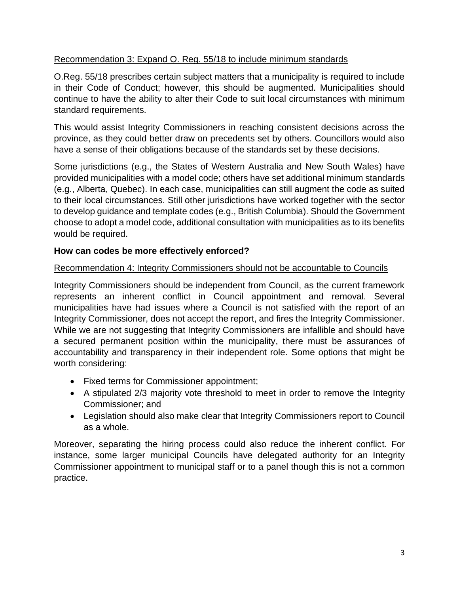# Recommendation 3: Expand O. Reg. 55/18 to include minimum standards

O.Reg. 55/18 prescribes certain subject matters that a municipality is required to include in their Code of Conduct; however, this should be augmented. Municipalities should continue to have the ability to alter their Code to suit local circumstances with minimum standard requirements.

This would assist Integrity Commissioners in reaching consistent decisions across the province, as they could better draw on precedents set by others. Councillors would also have a sense of their obligations because of the standards set by these decisions.

Some jurisdictions (e.g., the States of Western Australia and New South Wales) have provided municipalities with a model code; others have set additional minimum standards (e.g., Alberta, Quebec). In each case, municipalities can still augment the code as suited to their local circumstances. Still other jurisdictions have worked together with the sector to develop guidance and template codes (e.g., British Columbia). Should the Government choose to adopt a model code, additional consultation with municipalities as to its benefits would be required.

### **How can codes be more effectively enforced?**

# Recommendation 4: Integrity Commissioners should not be accountable to Councils

Integrity Commissioners should be independent from Council, as the current framework represents an inherent conflict in Council appointment and removal. Several municipalities have had issues where a Council is not satisfied with the report of an Integrity Commissioner, does not accept the report, and fires the Integrity Commissioner. While we are not suggesting that Integrity Commissioners are infallible and should have a secured permanent position within the municipality, there must be assurances of accountability and transparency in their independent role. Some options that might be worth considering:

- Fixed terms for Commissioner appointment;
- A stipulated 2/3 majority vote threshold to meet in order to remove the Integrity Commissioner; and
- Legislation should also make clear that Integrity Commissioners report to Council as a whole.

Moreover, separating the hiring process could also reduce the inherent conflict. For instance, some larger municipal Councils have delegated authority for an Integrity Commissioner appointment to municipal staff or to a panel though this is not a common practice.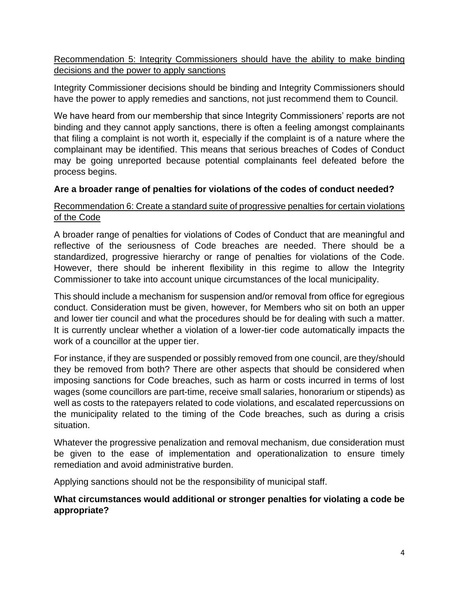## Recommendation 5: Integrity Commissioners should have the ability to make binding decisions and the power to apply sanctions

Integrity Commissioner decisions should be binding and Integrity Commissioners should have the power to apply remedies and sanctions, not just recommend them to Council.

We have heard from our membership that since Integrity Commissioners' reports are not binding and they cannot apply sanctions, there is often a feeling amongst complainants that filing a complaint is not worth it, especially if the complaint is of a nature where the complainant may be identified. This means that serious breaches of Codes of Conduct may be going unreported because potential complainants feel defeated before the process begins.

### **Are a broader range of penalties for violations of the codes of conduct needed?**

#### Recommendation 6: Create a standard suite of progressive penalties for certain violations of the Code

A broader range of penalties for violations of Codes of Conduct that are meaningful and reflective of the seriousness of Code breaches are needed. There should be a standardized, progressive hierarchy or range of penalties for violations of the Code. However, there should be inherent flexibility in this regime to allow the Integrity Commissioner to take into account unique circumstances of the local municipality.

This should include a mechanism for suspension and/or removal from office for egregious conduct. Consideration must be given, however, for Members who sit on both an upper and lower tier council and what the procedures should be for dealing with such a matter. It is currently unclear whether a violation of a lower-tier code automatically impacts the work of a councillor at the upper tier.

For instance, if they are suspended or possibly removed from one council, are they/should they be removed from both? There are other aspects that should be considered when imposing sanctions for Code breaches, such as harm or costs incurred in terms of lost wages (some councillors are part-time, receive small salaries, honorarium or stipends) as well as costs to the ratepayers related to code violations, and escalated repercussions on the municipality related to the timing of the Code breaches, such as during a crisis situation.

Whatever the progressive penalization and removal mechanism, due consideration must be given to the ease of implementation and operationalization to ensure timely remediation and avoid administrative burden.

Applying sanctions should not be the responsibility of municipal staff.

### **What circumstances would additional or stronger penalties for violating a code be appropriate?**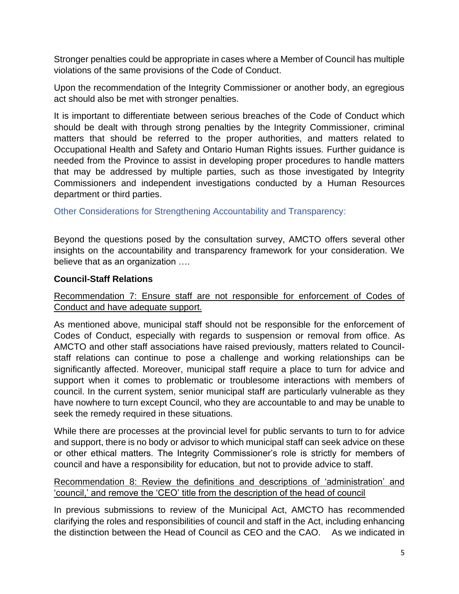Stronger penalties could be appropriate in cases where a Member of Council has multiple violations of the same provisions of the Code of Conduct.

Upon the recommendation of the Integrity Commissioner or another body, an egregious act should also be met with stronger penalties.

It is important to differentiate between serious breaches of the Code of Conduct which should be dealt with through strong penalties by the Integrity Commissioner, criminal matters that should be referred to the proper authorities, and matters related to Occupational Health and Safety and Ontario Human Rights issues. Further guidance is needed from the Province to assist in developing proper procedures to handle matters that may be addressed by multiple parties, such as those investigated by Integrity Commissioners and independent investigations conducted by a Human Resources department or third parties.

Other Considerations for Strengthening Accountability and Transparency:

Beyond the questions posed by the consultation survey, AMCTO offers several other insights on the accountability and transparency framework for your consideration. We believe that as an organization ….

### **Council-Staff Relations**

### Recommendation 7: Ensure staff are not responsible for enforcement of Codes of Conduct and have adequate support.

As mentioned above, municipal staff should not be responsible for the enforcement of Codes of Conduct, especially with regards to suspension or removal from office. As AMCTO and other staff associations have raised previously, matters related to Councilstaff relations can continue to pose a challenge and working relationships can be significantly affected. Moreover, municipal staff require a place to turn for advice and support when it comes to problematic or troublesome interactions with members of council. In the current system, senior municipal staff are particularly vulnerable as they have nowhere to turn except Council, who they are accountable to and may be unable to seek the remedy required in these situations.

While there are processes at the provincial level for public servants to turn to for advice and support, there is no body or advisor to which municipal staff can seek advice on these or other ethical matters. The Integrity Commissioner's role is strictly for members of council and have a responsibility for education, but not to provide advice to staff.

#### Recommendation 8: Review the definitions and descriptions of 'administration' and 'council,' and remove the 'CEO' title from the description of the head of council

In previous submissions to review of the Municipal Act, AMCTO has recommended clarifying the roles and responsibilities of council and staff in the Act, including enhancing the distinction between the Head of Council as CEO and the CAO. As we indicated in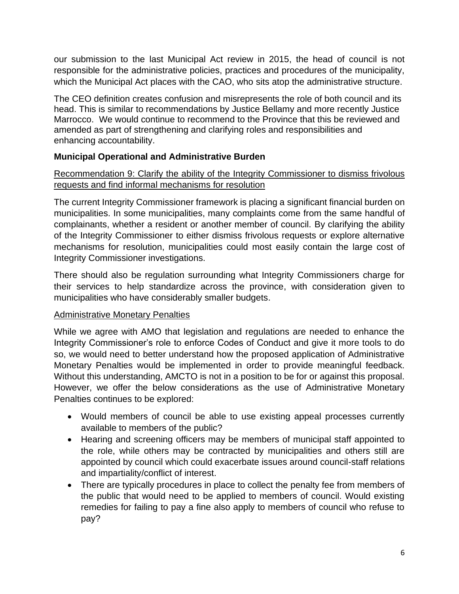our submission to the [last Municipal Act review in 2015,](https://www.amcto.com/getattachment/a723230b-8166-4755-80ba-e4c1da39abc7/.aspx) the head of council is not responsible for the administrative policies, practices and procedures of the municipality, which the Municipal Act places with the CAO, who sits atop the administrative structure.

The CEO definition creates confusion and misrepresents the role of both council and its head. This is similar to recommendations by Justice Bellamy and more recently Justice Marrocco. We would continue to recommend to the Province that this be reviewed and amended as part of strengthening and clarifying roles and responsibilities and enhancing accountability.

# **Municipal Operational and Administrative Burden**

# Recommendation 9: Clarify the ability of the Integrity Commissioner to dismiss frivolous requests and find informal mechanisms for resolution

The current Integrity Commissioner framework is placing a significant financial burden on municipalities. In some municipalities, many complaints come from the same handful of complainants, whether a resident or another member of council. By clarifying the ability of the Integrity Commissioner to either dismiss frivolous requests or explore alternative mechanisms for resolution, municipalities could most easily contain the large cost of Integrity Commissioner investigations.

There should also be regulation surrounding what Integrity Commissioners charge for their services to help standardize across the province, with consideration given to municipalities who have considerably smaller budgets.

### Administrative Monetary Penalties

While we agree with AMO that legislation and regulations are needed to enhance the Integrity Commissioner's role to enforce Codes of Conduct and give it more tools to do so, we would need to better understand how the proposed application of Administrative Monetary Penalties would be implemented in order to provide meaningful feedback. Without this understanding, AMCTO is not in a position to be for or against this proposal. However, we offer the below considerations as the use of Administrative Monetary Penalties continues to be explored:

- Would members of council be able to use existing appeal processes currently available to members of the public?
- Hearing and screening officers may be members of municipal staff appointed to the role, while others may be contracted by municipalities and others still are appointed by council which could exacerbate issues around council-staff relations and impartiality/conflict of interest.
- There are typically procedures in place to collect the penalty fee from members of the public that would need to be applied to members of council. Would existing remedies for failing to pay a fine also apply to members of council who refuse to pay?